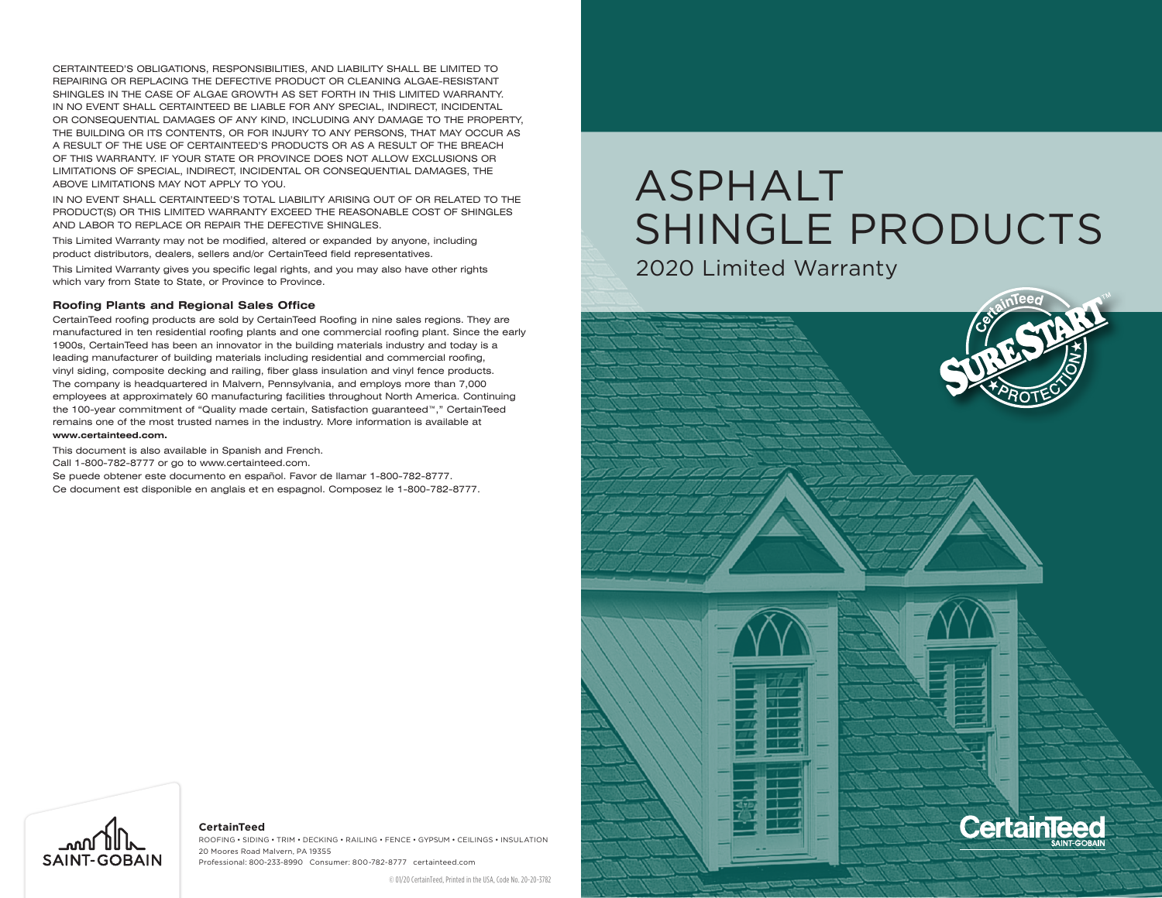CERTAINTEED'S OBLIGATIONS, RESPONSIBILITIES, AND LIABILITY SHALL BE LIMITED TO REPAIRING OR REPLACING THE DEFECTIVE PRODUCT OR CLEANING ALGAE-RESISTANT SHINGLES IN THE CASE OF ALGAE GROWTH AS SET FORTH IN THIS LIMITED WARRANTY. IN NO EVENT SHALL CERTAINTEED BE LIABLE FOR ANY SPECIAL, INDIRECT, INCIDENTAL OR CONSEQUENTIAL DAMAGES OF ANY KIND, INCLUDING ANY DAMAGE TO THE PROPERTY, THE BUILDING OR ITS CONTENTS, OR FOR INJURY TO ANY PERSONS, THAT MAY OCCUR AS A RESULT OF THE USE OF CERTAINTEED'S PRODUCTS OR AS A RESULT OF THE BREACH OF THIS WARRANTY. IF YOUR STATE OR PROVINCE DOES NOT ALLOW EXCLUSIONS OR LIMITATIONS OF SPECIAL, INDIRECT, INCIDENTAL OR CONSEQUENTIAL DAMAGES, THE ABOVE LIMITATIONS MAY NOT APPLY TO YOU.

IN NO EVENT SHALL CERTAINTEED'S TOTAL LIABILITY ARISING OUT OF OR RELATED TO THE PRODUCT(S) OR THIS LIMITED WARRANTY EXCEED THE REASONABLE COST OF SHINGLES AND LABOR TO REPLACE OR REPAIR THE DEFECTIVE SHINGLES.

This Limited Warranty may not be modified, altered or expanded by anyone, including product distributors, dealers, sellers and/or CertainTeed field representatives.

This Limited Warranty gives you specific legal rights, and you may also have other rights which vary from State to State, or Province to Province.

#### **Roofing Plants and Regional Sales Office**

CertainTeed roofing products are sold by CertainTeed Roofing in nine sales regions. They are manufactured in ten residential roofing plants and one commercial roofing plant. Since the early 1900s, CertainTeed has been an innovator in the building materials industry and today is a leading manufacturer of building materials including residential and commercial roofing, vinyl siding, composite decking and railing, fiber glass insulation and vinyl fence products. The company is headquartered in Malvern, Pennsylvania, and employs more than 7,000 employees at approximately 60 manufacturing facilities throughout North America. Continuing the 100-year commitment of "Quality made certain, Satisfaction guaranteed™," CertainTeed remains one of the most trusted names in the industry. More information is available at **www.certainteed.com.**

This document is also available in Spanish and French.

Call 1-800-782-8777 or go to www.certainteed.com.

Se puede obtener este documento en español. Favor de llamar 1-800-782-8777. Ce document est disponible en anglais et en espagnol. Composez le 1-800-782-8777.

# ASPHALT SHINGLE PRODUCTS

2020 Limited Warranty





#### **CertainTeed**

ROOFING • SIDING • TRIM • DECKING • RAILING • FENCE • Gypsum • CEILINGS • INSULATION 20 Moores Road Malvern, PA 19355 Professional: 800-233-8990 Consumer: 800-782-8777 certainteed.com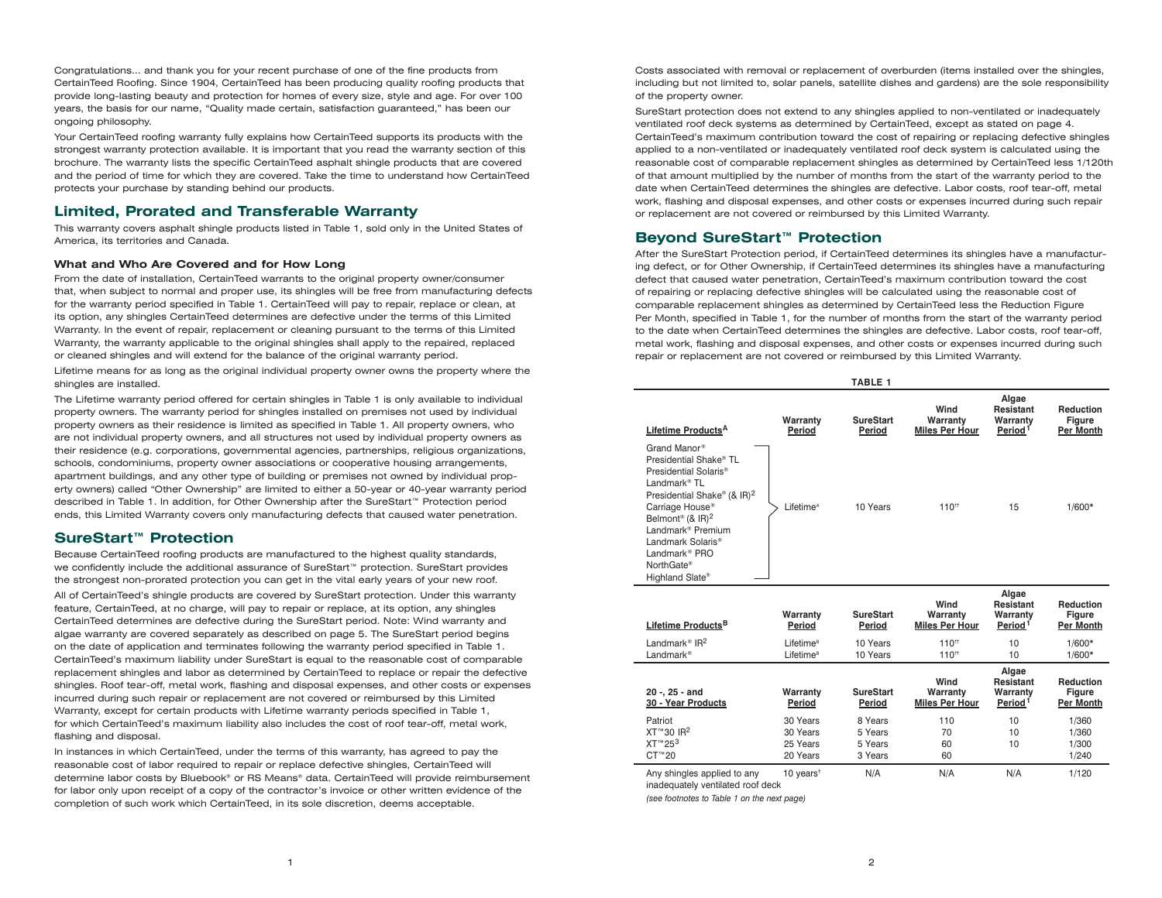Congratulations... and thank you for your recent purchase of one of the fine products from CertainTeed Roofing. Since 1904, CertainTeed has been producing quality roofing products that provide long-lasting beauty and protection for homes of every size, style and age. For over 100 years, the basis for our name, "Quality made certain, satisfaction guaranteed," has been our ongoing philosophy.

Your CertainTeed roofing warranty fully explains how CertainTeed supports its products with the strongest warranty protection available. It is important that you read the warranty section of this brochure. The warranty lists the specific CertainTeed asphalt shingle products that are covered and the period of time for which they are covered. Take the time to understand how CertainTeed protects your purchase by standing behind our products.

# **Limited, Prorated and Transferable Warranty**

This warranty covers asphalt shingle products listed in Table 1, sold only in the United States of America, its territories and Canada.

## **What and Who Are Covered and for How Long**

From the date of installation, CertainTeed warrants to the original property owner/consumer that, when subject to normal and proper use, its shingles will be free from manufacturing defects for the warranty period specified in Table 1. CertainTeed will pay to repair, replace or clean, at its option, any shingles CertainTeed determines are defective under the terms of this Limited Warranty. In the event of repair, replacement or cleaning pursuant to the terms of this Limited Warranty, the warranty applicable to the original shingles shall apply to the repaired, replaced or cleaned shingles and will extend for the balance of the original warranty period.

Lifetime means for as long as the original individual property owner owns the property where the shingles are installed.

The Lifetime warranty period offered for certain shingles in Table 1 is only available to individual property owners. The warranty period for shingles installed on premises not used by individual property owners as their residence is limited as specified in Table 1. All property owners, who are not individual property owners, and all structures not used by individual property owners as their residence (e.g. corporations, governmental agencies, partnerships, religious organizations, schools, condominiums, property owner associations or cooperative housing arrangements, apartment buildings, and any other type of building or premises not owned by individual property owners) called "Other Ownership" are limited to either a 50-year or 40-year warranty period described in Table 1. In addition, for Other Ownership after the SureStart™ Protection period ends, this Limited Warranty covers only manufacturing defects that caused water penetration.

# **SureStart™ Protection**

Because CertainTeed roofing products are manufactured to the highest quality standards, we confidently include the additional assurance of SureStart™ protection. SureStart provides the strongest non-prorated protection you can get in the vital early years of your new roof.

All of CertainTeed's shingle products are covered by SureStart protection. Under this warranty feature, CertainTeed, at no charge, will pay to repair or replace, at its option, any shingles CertainTeed determines are defective during the SureStart period. Note: Wind warranty and algae warranty are covered separately as described on page 5. The SureStart period begins on the date of application and terminates following the warranty period specified in Table 1. CertainTeed's maximum liability under SureStart is equal to the reasonable cost of comparable replacement shingles and labor as determined by CertainTeed to replace or repair the defective shingles. Roof tear-off, metal work, flashing and disposal expenses, and other costs or expenses incurred during such repair or replacement are not covered or reimbursed by this Limited Warranty, except for certain products with Lifetime warranty periods specified in Table 1, for which CertainTeed's maximum liability also includes the cost of roof tear-off, metal work, flashing and disposal.

In instances in which CertainTeed, under the terms of this warranty, has agreed to pay the reasonable cost of labor required to repair or replace defective shingles, CertainTeed will determine labor costs by Bluebook® or RS Means® data. CertainTeed will provide reimbursement for labor only upon receipt of a copy of the contractor's invoice or other written evidence of the completion of such work which CertainTeed, in its sole discretion, deems acceptable.

Costs associated with removal or replacement of overburden (items installed over the shingles, including but not limited to, solar panels, satellite dishes and gardens) are the sole responsibility of the property owner.

SureStart protection does not extend to any shingles applied to non-ventilated or inadequately ventilated roof deck systems as determined by CertainTeed, except as stated on page 4. CertainTeed's maximum contribution toward the cost of repairing or replacing defective shingles applied to a non-ventilated or inadequately ventilated roof deck system is calculated using the reasonable cost of comparable replacement shingles as determined by CertainTeed less 1/120th of that amount multiplied by the number of months from the start of the warranty period to the date when CertainTeed determines the shingles are defective. Labor costs, roof tear-off, metal work, flashing and disposal expenses, and other costs or expenses incurred during such repair or replacement are not covered or reimbursed by this Limited Warranty.

# **Beyond SureStart™ Protection**

After the SureStart Protection period, if CertainTeed determines its shingles have a manufacturing defect, or for Other Ownership, if CertainTeed determines its shingles have a manufacturing defect that caused water penetration, CertainTeed's maximum contribution toward the cost of repairing or replacing defective shingles will be calculated using the reasonable cost of comparable replacement shingles as determined by CertainTeed less the Reduction Figure Per Month, specified in Table 1, for the number of months from the start of the warranty period to the date when CertainTeed determines the shingles are defective. Labor costs, roof tear-off, metal work, flashing and disposal expenses, and other costs or expenses incurred during such repair or replacement are not covered or reimbursed by this Limited Warranty.

|                                                                                                                                                                                                                                                                                                                                                                             |                                                | <b>TABLE 1</b>             |                                           |                                                              |                                                |
|-----------------------------------------------------------------------------------------------------------------------------------------------------------------------------------------------------------------------------------------------------------------------------------------------------------------------------------------------------------------------------|------------------------------------------------|----------------------------|-------------------------------------------|--------------------------------------------------------------|------------------------------------------------|
| Lifetime Products <sup>A</sup>                                                                                                                                                                                                                                                                                                                                              | Warranty<br>Period                             | <b>SureStart</b><br>Period | Wind<br>Warranty<br><b>Miles Per Hour</b> | Algae<br>Resistant<br>Warranty<br>Period <sup>1</sup>        | Reduction<br>Figure<br><b>Per Month</b>        |
| Grand Manor®<br>Presidential Shake® TL<br>Presidential Solaris <sup>®</sup><br>I andmark <sup>®</sup> TI<br>Presidential Shake <sup>®</sup> (& IR) <sup>2</sup><br>Carriage House <sup>®</sup><br>Belmont <sup>®</sup> (& IR) <sup>2</sup><br>I andmark <sup>®</sup> Premium<br>Landmark Solaris <sup>®</sup><br>Landmark <sup>®</sup> PRO<br>NorthGate®<br>Highland Slate® | Lifetime <sup>A</sup>                          | 10 Years                   | $110^{+1}$                                | 15                                                           | $1/600*$                                       |
| Lifetime Products <sup>B</sup>                                                                                                                                                                                                                                                                                                                                              | Warranty<br>Period                             | <b>SureStart</b><br>Period | Wind<br>Warranty<br><b>Miles Per Hour</b> | Algae<br><b>Resistant</b><br>Warranty<br>Period <sup>1</sup> | <b>Reduction</b><br>Figure<br><b>Per Month</b> |
| Landmark <sup>®</sup> IR <sup>2</sup><br>Landmark <sup>®</sup>                                                                                                                                                                                                                                                                                                              | Lifetime <sup>B</sup><br>Lifetime <sup>B</sup> | 10 Years<br>10 Years       | $110^{+1}$<br>$110^{+1}$                  | 10<br>10                                                     | $1/600*$<br>$1/600*$                           |
|                                                                                                                                                                                                                                                                                                                                                                             |                                                |                            |                                           | Algae                                                        |                                                |

| 20 -, 25 - and<br>30 - Year Products                                                                                                                                                                                                                         | Warranty<br>Period                 | <b>SureStart</b><br>Period | Wind<br>Warranty<br><b>Miles Per Hour</b> | Algae<br>Resistant<br>Warranty<br>Period <sup>1</sup> | <b>Reduction</b><br><b>Figure</b><br><b>Per Month</b> |
|--------------------------------------------------------------------------------------------------------------------------------------------------------------------------------------------------------------------------------------------------------------|------------------------------------|----------------------------|-------------------------------------------|-------------------------------------------------------|-------------------------------------------------------|
| Patriot                                                                                                                                                                                                                                                      | 30 Years                           | 8 Years                    | 110                                       | 10                                                    | 1/360                                                 |
| XT™30 IR <sup>2</sup>                                                                                                                                                                                                                                        | 30 Years                           | 5 Years                    | 70                                        | 10                                                    | 1/360                                                 |
| XT <sup>™</sup> 25 <sup>3</sup>                                                                                                                                                                                                                              | 25 Years                           | 5 Years                    | 60                                        | 10                                                    | 1/300                                                 |
| $CT^{m}20$                                                                                                                                                                                                                                                   | 20 Years                           | 3 Years                    | 60                                        |                                                       | 1/240                                                 |
| Any shingles applied to any<br>the conditions of a control of the condition of the condition of the condition of the condition of the condition of the condition of the condition of the condition of the condition of the condition of the condition of the | 10 years <sup><math>†</math></sup> | N/A                        | N/A                                       | N/A                                                   | 1/120                                                 |

inadequately ventilated roof deck

*(see footnotes to Table 1 on the next page)*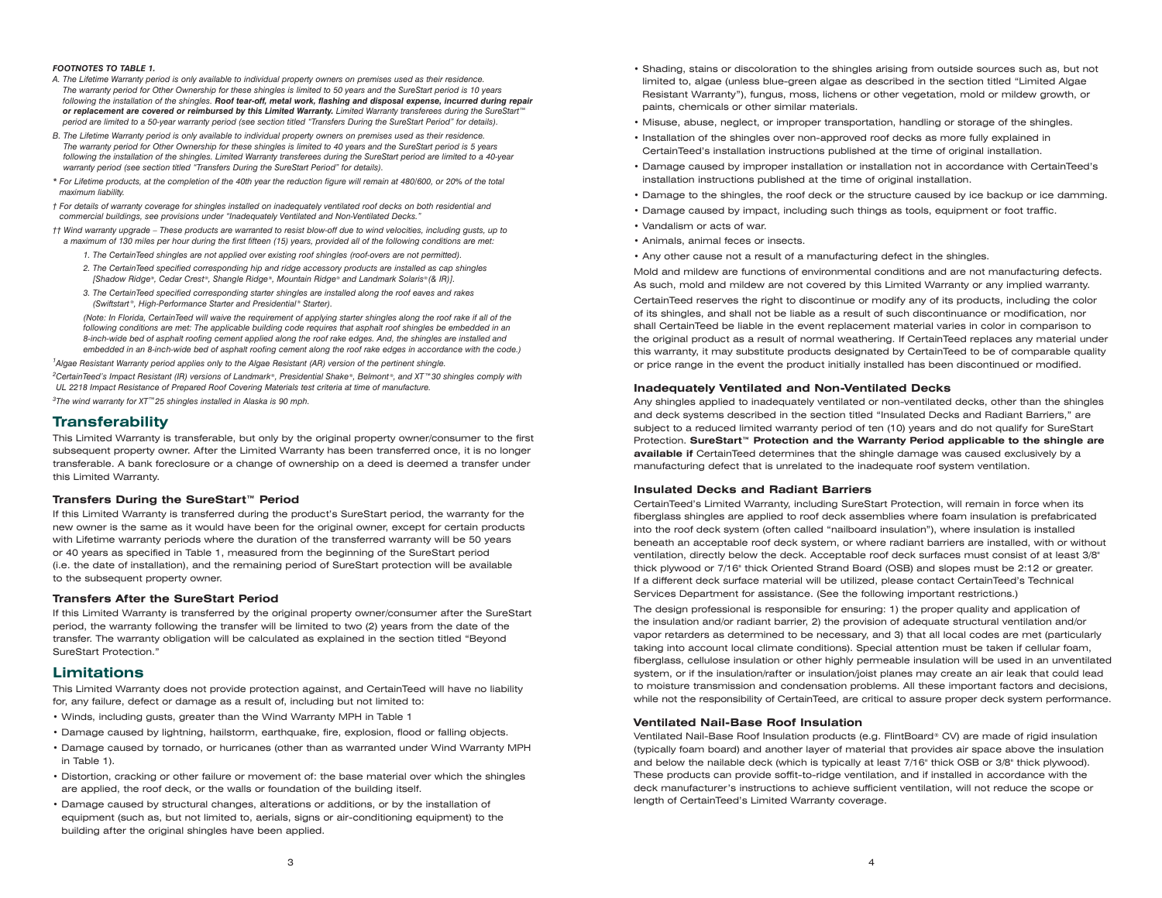#### *FOOTNOTES TO TABLE 1.*

- *A. The Lifetime Warranty period is only available to individual property owners on premises used as their residence. The warranty period for Other Ownership for these shingles is limited to 50 years and the SureStart period is 10 years following the installation of the shingles. Roof tear-off, metal work, flashing and disposal expense, incurred during repair or replacement are covered or reimbursed by this Limited Warranty. Limited Warranty transferees during the SureStart™ period are limited to a 50-year warranty period (see section titled "Transfers During the SureStart Period" for details).*
- *B. The Lifetime Warranty period is only available to individual property owners on premises used as their residence. The warranty period for Other Ownership for these shingles is limited to 40 years and the SureStart period is 5 years following the installation of the shingles. Limited Warranty transferees during the SureStart period are limited to a 40-year warranty period (see section titled "Transfers During the SureStart Period" for details).*
- *\* For Lifetime products, at the completion of the 40th year the reduction figure will remain at 480/600, or 20% of the total maximum liability.*
- *† For details of warranty coverage for shingles installed on inadequately ventilated roof decks on both residential and commercial buildings, see provisions under "Inadequately Ventilated and Non-Ventilated Decks."*
- *†† Wind warranty upgrade These products are warranted to resist blow-off due to wind velocities, including gusts, up to a maximum of 130 miles per hour during the first fifteen (15) years, provided all of the following conditions are met:*
	- *1. The CertainTeed shingles are not applied over existing roof shingles (roof-overs are not permitted).*
	- *2. The CertainTeed specified corresponding hip and ridge accessory products are installed as cap shingles [Shadow Ridge®, Cedar Crest®, Shangle Ridge®, Mountain Ridge® and Landmark Solaris® (& IR)].*
	- *3. The CertainTeed specified corresponding starter shingles are installed along the roof eaves and rakes (Swiftstart ®, High-Performance Starter and Presidential ® Starter).*

 *(Note: In Florida, CertainTeed will waive the requirement of applying starter shingles along the roof rake if all of the following conditions are met: The applicable building code requires that asphalt roof shingles be embedded in an 8-inch-wide bed of asphalt roofing cement applied along the roof rake edges. And, the shingles are installed and embedded in an 8-inch-wide bed of asphalt roofing cement along the roof rake edges in accordance with the code.)*

*1 Algae Resistant Warranty period applies only to the Algae Resistant (AR) version of the pertinent shingle.*

*2 CertainTeed's Impact Resistant (IR) versions of Landmark ®, Presidential Shake ®, Belmont ®, and XT™30 shingles comply with UL 2218 Impact Resistance of Prepared Roof Covering Materials test criteria at time of manufacture.*

*3 The wind warranty for XT™25 shingles installed in Alaska is 90 mph.*

## **Transferability**

This Limited Warranty is transferable, but only by the original property owner/consumer to the first subsequent property owner. After the Limited Warranty has been transferred once, it is no longer transferable. A bank foreclosure or a change of ownership on a deed is deemed a transfer under this Limited Warranty.

#### **Transfers During the SureStart™ Period**

If this Limited Warranty is transferred during the product's SureStart period, the warranty for the new owner is the same as it would have been for the original owner, except for certain products with Lifetime warranty periods where the duration of the transferred warranty will be 50 years or 40 years as specified in Table 1, measured from the beginning of the SureStart period (i.e. the date of installation), and the remaining period of SureStart protection will be available to the subsequent property owner.

#### **Transfers After the SureStart Period**

If this Limited Warranty is transferred by the original property owner/consumer after the SureStart period, the warranty following the transfer will be limited to two (2) years from the date of the transfer. The warranty obligation will be calculated as explained in the section titled "Beyond SureStart Protection."

## **Limitations**

This Limited Warranty does not provide protection against, and CertainTeed will have no liability for, any failure, defect or damage as a result of, including but not limited to:

- Winds, including gusts, greater than the Wind Warranty MPH in Table 1
- Damage caused by lightning, hailstorm, earthquake, fire, explosion, flood or falling objects.
- Damage caused by tornado, or hurricanes (other than as warranted under Wind Warranty MPH in Table 1).
- Distortion, cracking or other failure or movement of: the base material over which the shingles are applied, the roof deck, or the walls or foundation of the building itself.
- Damage caused by structural changes, alterations or additions, or by the installation of equipment (such as, but not limited to, aerials, signs or air-conditioning equipment) to the building after the original shingles have been applied.
- Shading, stains or discoloration to the shingles arising from outside sources such as, but not limited to, algae (unless blue-green algae as described in the section titled "Limited Algae Resistant Warranty"), fungus, moss, lichens or other vegetation, mold or mildew growth, or paints, chemicals or other similar materials.
- Misuse, abuse, neglect, or improper transportation, handling or storage of the shingles.
- Installation of the shingles over non-approved roof decks as more fully explained in CertainTeed's installation instructions published at the time of original installation.
- Damage caused by improper installation or installation not in accordance with CertainTeed's installation instructions published at the time of original installation.
- Damage to the shingles, the roof deck or the structure caused by ice backup or ice damming.
- Damage caused by impact, including such things as tools, equipment or foot traffic.
- Vandalism or acts of war.
- Animals, animal feces or insects.
- Any other cause not a result of a manufacturing defect in the shingles.

Mold and mildew are functions of environmental conditions and are not manufacturing defects. As such, mold and mildew are not covered by this Limited Warranty or any implied warranty. CertainTeed reserves the right to discontinue or modify any of its products, including the color of its shingles, and shall not be liable as a result of such discontinuance or modification, nor shall CertainTeed be liable in the event replacement material varies in color in comparison to the original product as a result of normal weathering. If CertainTeed replaces any material under this warranty, it may substitute products designated by CertainTeed to be of comparable quality or price range in the event the product initially installed has been discontinued or modified.

#### **Inadequately Ventilated and Non-Ventilated Decks**

Any shingles applied to inadequately ventilated or non-ventilated decks, other than the shingles and deck systems described in the section titled "Insulated Decks and Radiant Barriers," are subject to a reduced limited warranty period of ten (10) years and do not qualify for SureStart Protection. **SureStart™ Protection and the Warranty Period applicable to the shingle are available if** CertainTeed determines that the shingle damage was caused exclusively by a manufacturing defect that is unrelated to the inadequate roof system ventilation.

#### **Insulated Decks and Radiant Barriers**

CertainTeed's Limited Warranty, including SureStart Protection, will remain in force when its fiberglass shingles are applied to roof deck assemblies where foam insulation is prefabricated into the roof deck system (often called "nailboard insulation"), where insulation is installed beneath an acceptable roof deck system, or where radiant barriers are installed, with or without ventilation, directly below the deck. Acceptable roof deck surfaces must consist of at least 3/8" thick plywood or 7/16" thick Oriented Strand Board (OSB) and slopes must be 2:12 or greater. If a different deck surface material will be utilized, please contact CertainTeed's Technical Services Department for assistance. (See the following important restrictions.)

The design professional is responsible for ensuring: 1) the proper quality and application of the insulation and/or radiant barrier, 2) the provision of adequate structural ventilation and/or vapor retarders as determined to be necessary, and 3) that all local codes are met (particularly taking into account local climate conditions). Special attention must be taken if cellular foam, fiberglass, cellulose insulation or other highly permeable insulation will be used in an unventilated system, or if the insulation/rafter or insulation/joist planes may create an air leak that could lead to moisture transmission and condensation problems. All these important factors and decisions, while not the responsibility of CertainTeed, are critical to assure proper deck system performance.

#### **Ventilated Nail-Base Roof Insulation**

Ventilated Nail-Base Roof Insulation products (e.g. FlintBoard® CV) are made of rigid insulation (typically foam board) and another layer of material that provides air space above the insulation and below the nailable deck (which is typically at least 7/16" thick OSB or 3/8" thick plywood). These products can provide soffit-to-ridge ventilation, and if installed in accordance with the deck manufacturer's instructions to achieve sufficient ventilation, will not reduce the scope or length of CertainTeed's Limited Warranty coverage.